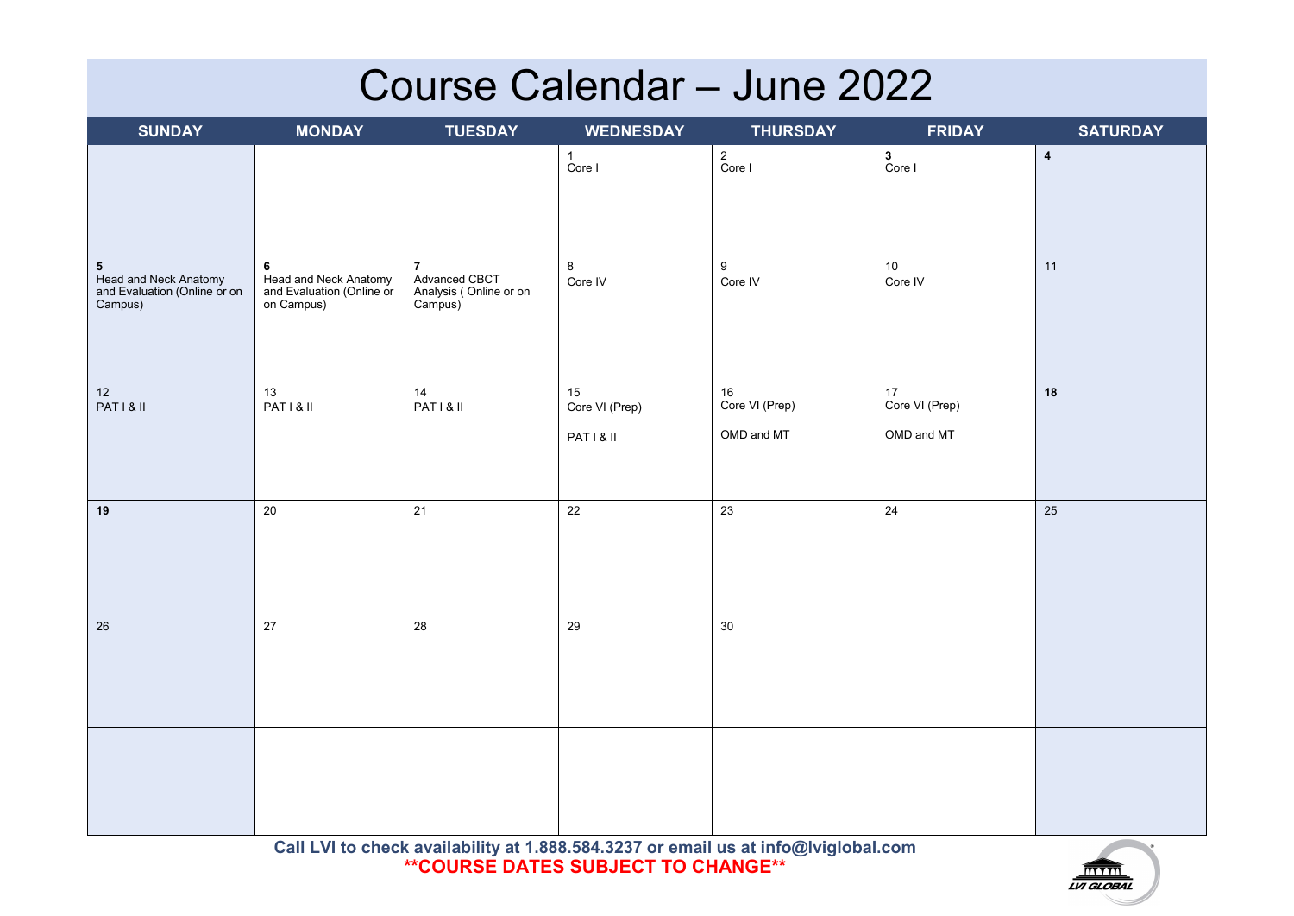## **Course Calendar – June 2022**

| <b>SUNDAY</b>                                                                               | <b>MONDAY</b>                                                         | <b>TUESDAY</b>                                                       | <b>WEDNESDAY</b>       | <b>THURSDAY</b>          | <b>FRIDAY</b>         | <b>SATURDAY</b>         |
|---------------------------------------------------------------------------------------------|-----------------------------------------------------------------------|----------------------------------------------------------------------|------------------------|--------------------------|-----------------------|-------------------------|
|                                                                                             |                                                                       |                                                                      | $\mathbf{1}$<br>Core I | 2<br>Core I              | $\mathbf 3$<br>Core I | $\overline{\mathbf{4}}$ |
| $5\phantom{.0}$<br><b>Head and Neck Anatomy<br/>and Evaluation (Online or on</b><br>Campus) | 6<br>Head and Neck Anatomy<br>and Evaluation (Online or<br>on Campus) | $\overline{7}$<br>Advanced CBCT<br>Analysis (Online or on<br>Campus) | $\bf 8$<br>Core IV     | 9<br>Core IV             | $10$<br>Core IV       | 11                      |
| $12$<br>PATI& II                                                                            | 13<br>PATI& II                                                        | 14<br>PATI& II                                                       | 15<br>Core VI (Prep)   | $16\,$<br>Core VI (Prep) | 17<br>Core VI (Prep)  | 18                      |
|                                                                                             |                                                                       |                                                                      | PATI& II               | OMD and MT               | OMD and MT            |                         |
| 19                                                                                          | 20                                                                    | 21                                                                   | 22                     | 23                       | 24                    | 25                      |
| 26                                                                                          | 27                                                                    | $28\,$                                                               | 29                     | $30\,$                   |                       |                         |
|                                                                                             |                                                                       |                                                                      |                        |                          |                       |                         |

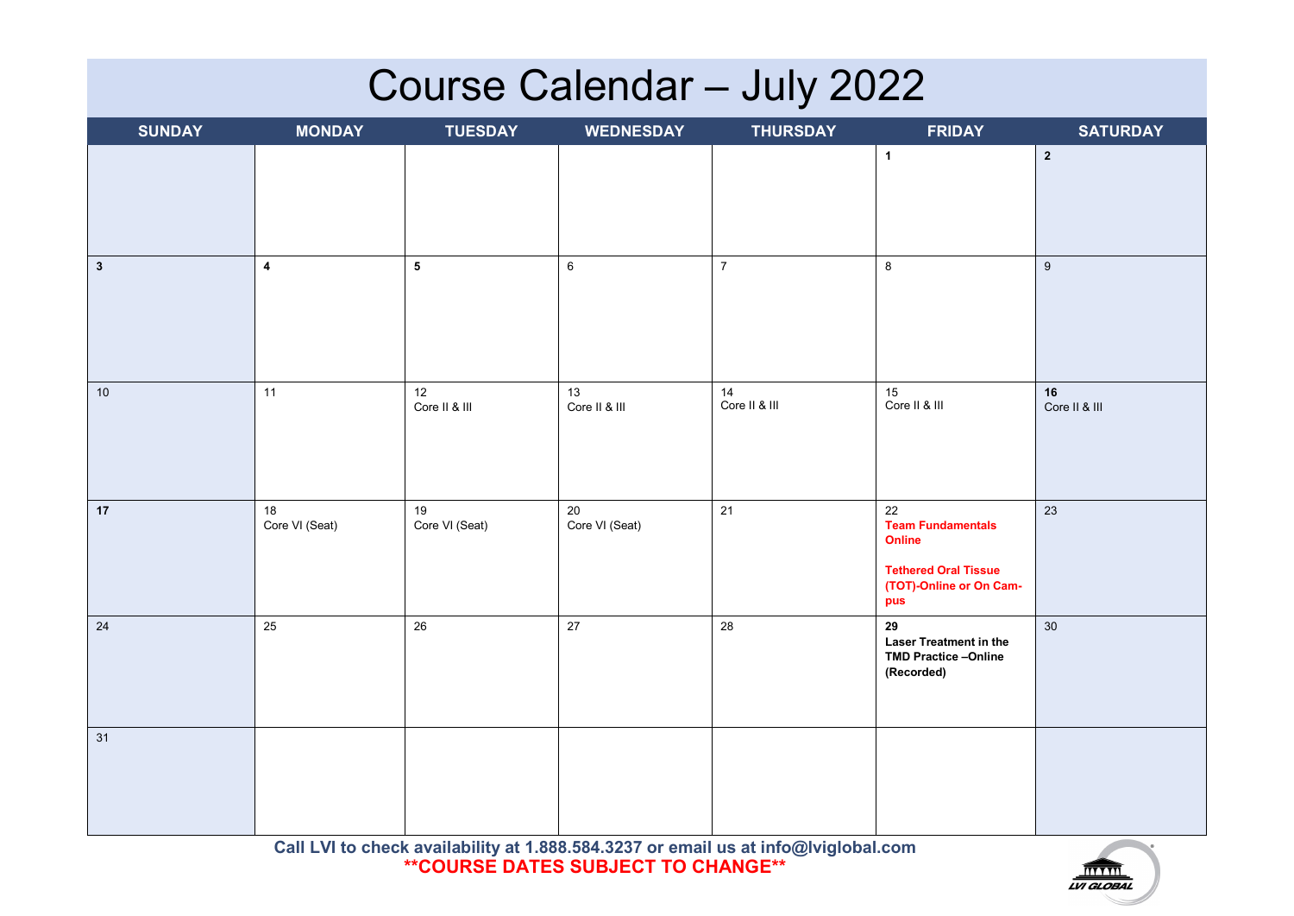# **Course Calendar – July 2022**

| <b>SUNDAY</b> | <b>MONDAY</b>            | <b>TUESDAY</b>          | <b>WEDNESDAY</b>         | <b>THURSDAY</b>     | <b>FRIDAY</b>                                                                                             | <b>SATURDAY</b>     |
|---------------|--------------------------|-------------------------|--------------------------|---------------------|-----------------------------------------------------------------------------------------------------------|---------------------|
|               |                          |                         |                          |                     | $\mathbf{1}$                                                                                              | $\mathbf{2}$        |
| $\mathbf{3}$  | $\overline{\mathbf{4}}$  | $\overline{\mathbf{5}}$ | $\,6\,$                  | $\boldsymbol{7}$    | $\bf 8$                                                                                                   | $\boldsymbol{9}$    |
| $10$          | 11                       | 12<br>Core II & III     | 13<br>Core II & III      | 14<br>Core II & III | 15<br>Core II & III                                                                                       | 16<br>Core II & III |
| 17            | $18\,$<br>Core VI (Seat) | 19<br>Core VI (Seat)    | $20\,$<br>Core VI (Seat) | 21                  | 22<br><b>Team Fundamentals</b><br>Online<br><b>Tethered Oral Tissue</b><br>(TOT)-Online or On Cam-<br>pus | 23                  |
| $24\,$        | 25                       | $26\,$                  | $27\,$                   | 28                  | 29<br>Laser Treatment in the<br>TMD Practice-Online<br>(Recorded)                                         | $30\,$              |
| 31            |                          |                         |                          |                     |                                                                                                           |                     |

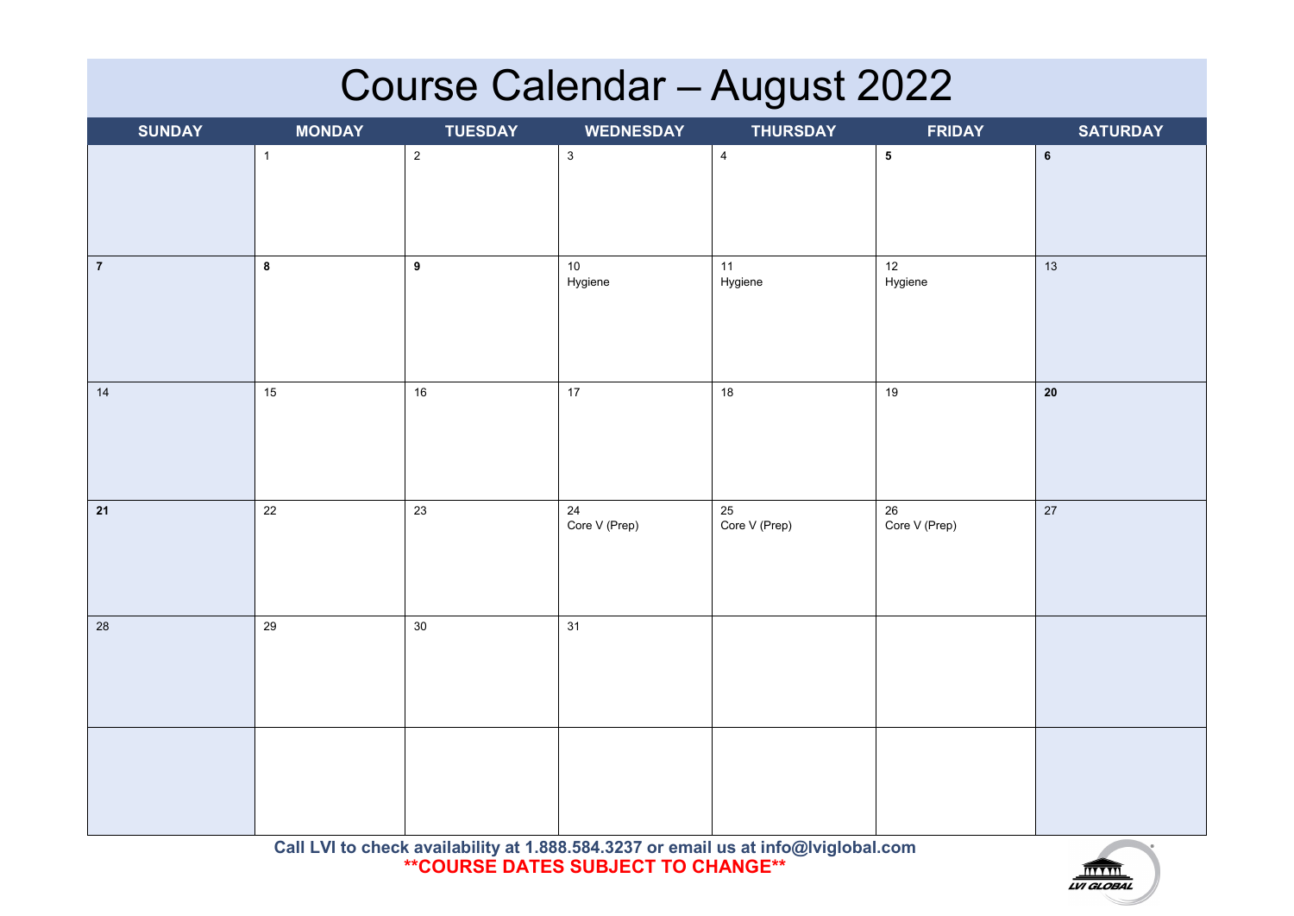# **Course Calendar – August 2022**

| <b>SUNDAY</b>  | <b>MONDAY</b> | <b>TUESDAY</b> | <b>WEDNESDAY</b>        | <b>THURSDAY</b>         | <b>FRIDAY</b>       | SATURDAY   |
|----------------|---------------|----------------|-------------------------|-------------------------|---------------------|------------|
|                | $\mathbf{1}$  | $\overline{2}$ | $\mathbf{3}$            | $\overline{4}$          | ${\bf 5}$           | $\bf 6$    |
| $\overline{7}$ | 8             | 9              | $10\,$<br>Hygiene       | 11<br>Hygiene           | 12<br>Hygiene       | 13         |
| 14             | $15\,$        | $16\,$         | 17                      | $18\,$                  | $19$                | ${\bf 20}$ |
| $21$           | $22\,$        | 23             | $24\,$<br>Core V (Prep) | $25\,$<br>Core V (Prep) | 26<br>Core V (Prep) | 27         |
| $28\,$         | 29            | $30\,$         | 31                      |                         |                     |            |
|                |               |                |                         |                         |                     |            |

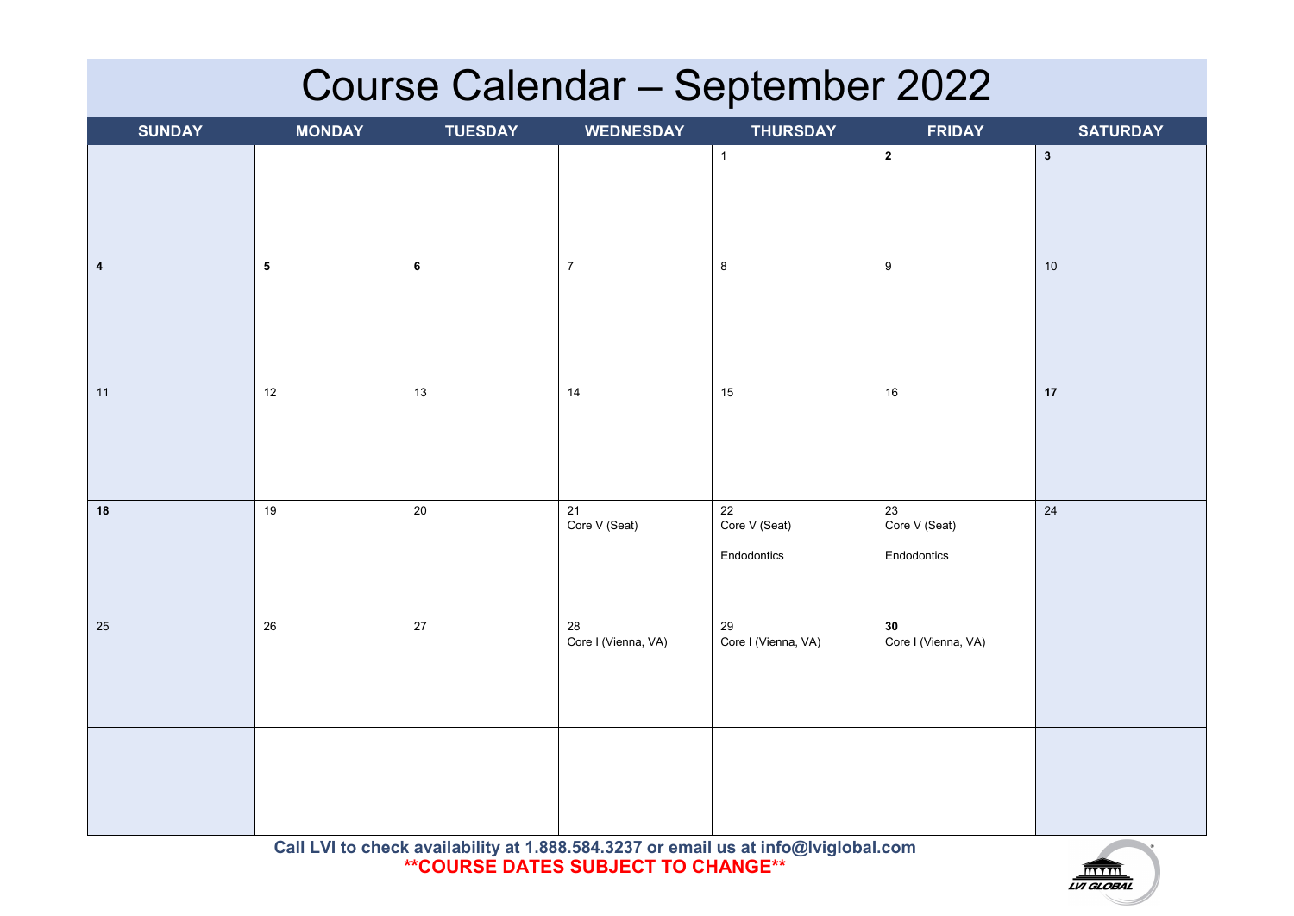# **Course Calendar – September 2022**

| <b>SUNDAY</b>           | <b>MONDAY</b>           | <b>TUESDAY</b> | <b>WEDNESDAY</b>          | <b>THURSDAY</b>                    | <b>FRIDAY</b>                      | <b>SATURDAY</b> |
|-------------------------|-------------------------|----------------|---------------------------|------------------------------------|------------------------------------|-----------------|
|                         |                         |                |                           | $\mathbf 1$                        | $\overline{\mathbf{2}}$            | $\mathbf{3}$    |
| $\overline{\mathbf{4}}$ | $\overline{\mathbf{5}}$ | $\bf 6$        | $\overline{7}$            | $\, 8$                             | $\boldsymbol{9}$                   | $10$            |
| 11                      | 12                      | 13             | $14$                      | 15                                 | $16\,$                             | 17              |
| ${\bf 18}$              | $19$                    | $20\,$         | 21<br>Core V (Seat)       | 22<br>Core V (Seat)<br>Endodontics | 23<br>Core V (Seat)<br>Endodontics | $24\,$          |
| 25                      | $26\,$                  | $27\,$         | 28<br>Core I (Vienna, VA) | 29<br>Core I (Vienna, VA)          | 30<br>Core I (Vienna, VA)          |                 |
|                         |                         |                |                           |                                    |                                    |                 |

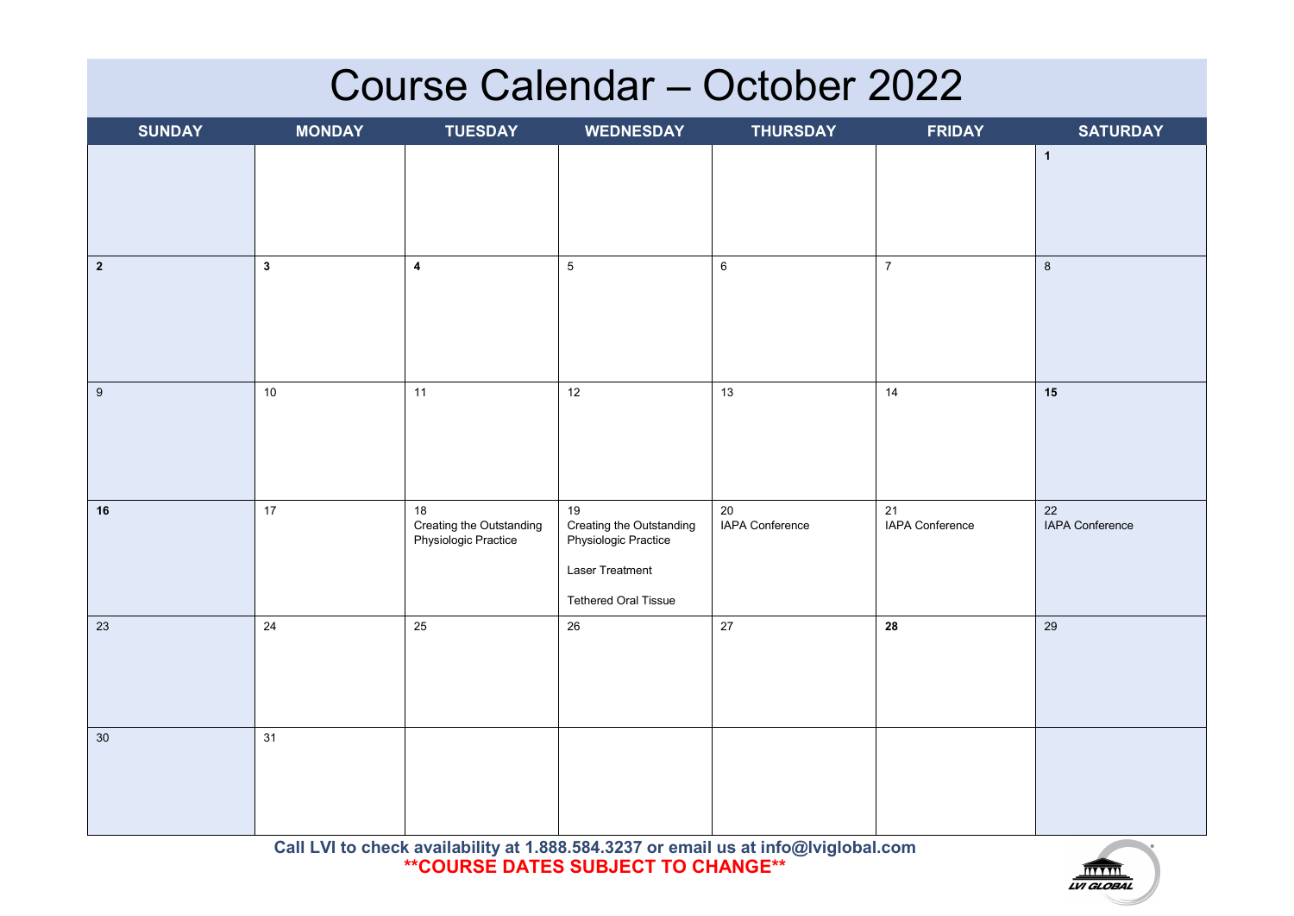#### **Course Calendar – October 2022**

| <b>SUNDAY</b>  | <b>MONDAY</b> | <b>TUESDAY</b>                                         | <b>WEDNESDAY</b>                                       | <b>THURSDAY</b>       | <b>FRIDAY</b>         | <b>SATURDAY</b>       |
|----------------|---------------|--------------------------------------------------------|--------------------------------------------------------|-----------------------|-----------------------|-----------------------|
|                |               |                                                        |                                                        |                       |                       | $\mathbf{1}$          |
|                |               |                                                        |                                                        |                       |                       |                       |
|                |               |                                                        |                                                        |                       |                       |                       |
| $\overline{2}$ | $\mathbf{3}$  | $\boldsymbol{4}$                                       | $5\phantom{.0}$                                        | $\,6\,$               | $\overline{7}$        | $\,8\,$               |
|                |               |                                                        |                                                        |                       |                       |                       |
|                |               |                                                        |                                                        |                       |                       |                       |
|                |               |                                                        |                                                        |                       |                       |                       |
| $9\,$          | $10$          | 11                                                     | 12                                                     | 13                    | 14                    | 15                    |
|                |               |                                                        |                                                        |                       |                       |                       |
|                |               |                                                        |                                                        |                       |                       |                       |
|                |               |                                                        |                                                        |                       |                       |                       |
| 16             | 17            | 18<br>Creating the Outstanding<br>Physiologic Practice | 19<br>Creating the Outstanding<br>Physiologic Practice | 20<br>IAPA Conference | 21<br>IAPA Conference | 22<br>IAPA Conference |
|                |               |                                                        | Laser Treatment                                        |                       |                       |                       |
|                |               |                                                        | Tethered Oral Tissue                                   |                       |                       |                       |
| 23             | 24            | 25                                                     | 26                                                     | 27                    | 28                    | 29                    |
|                |               |                                                        |                                                        |                       |                       |                       |
|                |               |                                                        |                                                        |                       |                       |                       |
|                |               |                                                        |                                                        |                       |                       |                       |
| $30\,$         | 31            |                                                        |                                                        |                       |                       |                       |
|                |               |                                                        |                                                        |                       |                       |                       |
|                |               |                                                        |                                                        |                       |                       |                       |
|                |               |                                                        |                                                        |                       |                       |                       |

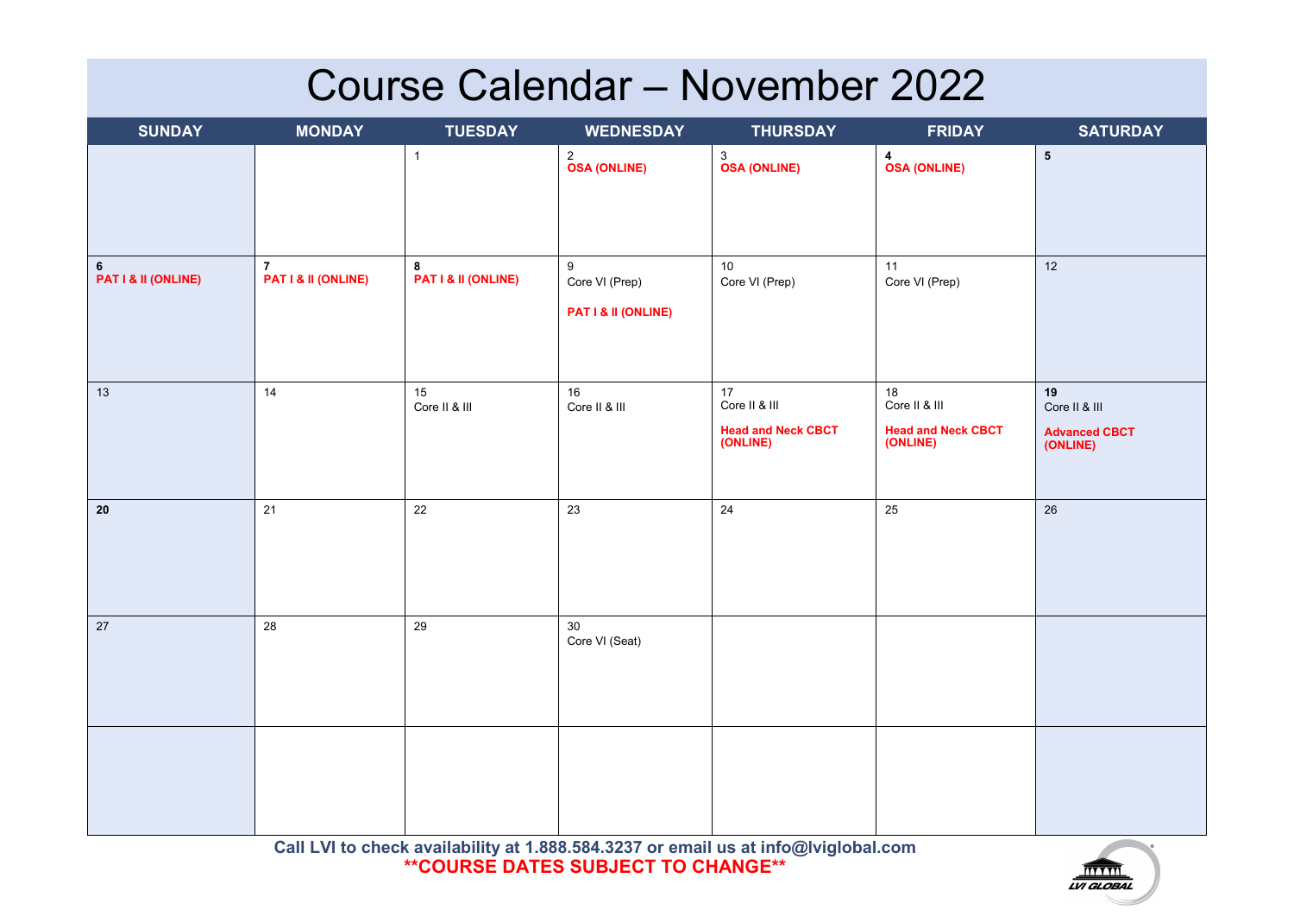# **Course Calendar – November 2022**

| <b>SUNDAY</b>            | <b>MONDAY</b>                         | <b>TUESDAY</b>           | <b>WEDNESDAY</b>                           | <b>THURSDAY</b>                                              | <b>FRIDAY</b>                                                    | <b>SATURDAY</b>                                         |
|--------------------------|---------------------------------------|--------------------------|--------------------------------------------|--------------------------------------------------------------|------------------------------------------------------------------|---------------------------------------------------------|
|                          |                                       | $\mathbf{1}$             | 2<br>OSA (ONLINE)                          | 3<br>OSA (ONLINE)                                            | 4<br><b>OSA (ONLINE)</b>                                         | ${\bf 5}$                                               |
| 6<br>PAT I & II (ONLINE) | $\overline{7}$<br>PAT I & II (ONLINE) | 8<br>PAT I & II (ONLINE) | 9<br>Core VI (Prep)<br>PAT I & II (ONLINE) | $10\,$<br>Core VI (Prep)                                     | 11<br>Core VI (Prep)                                             | 12                                                      |
| 13                       | 14                                    | 15<br>Core II & III      | $16\,$<br>Core II & III                    | 17<br>Core II & III<br><b>Head and Neck CBCT</b><br>(ONLINE) | $18\,$<br>Core II & III<br><b>Head and Neck CBCT</b><br>(ONLINE) | 19<br>Core II & III<br><b>Advanced CBCT</b><br>(ONLINE) |
| 20                       | $21$                                  | 22                       | 23                                         | 24                                                           | 25                                                               | 26                                                      |
| $27\,$                   | 28                                    | 29                       | $30\,$<br>Core VI (Seat)                   |                                                              |                                                                  |                                                         |
|                          |                                       |                          |                                            |                                                              |                                                                  |                                                         |